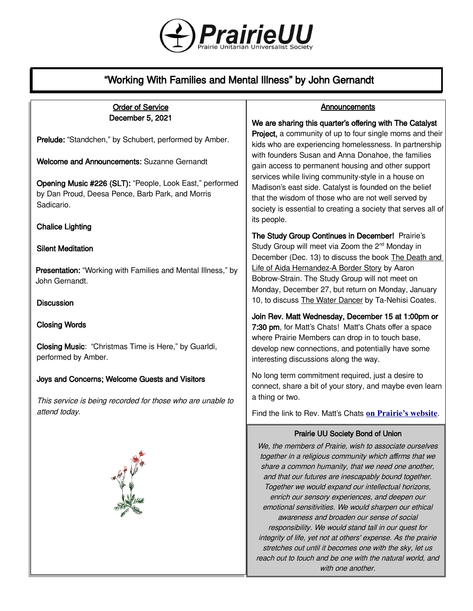

# "Working With Families and Mental Illness" by John Gernandt

#### Order of Service December 5, 2021 Prelude: "Standchen," by Schubert, performed by Amber. Welcome and Announcements: Suzanne Gernandt Opening Music #226 (SLT): "People, Look East," performed by Dan Proud, Deesa Pence, Barb Park, and Morris Sadicario. Chalice Lighting Silent Meditation **Presentation:** "Working with Families and Mental Illness," by John Gernandt. **Discussion** Closing Words Closing Music: "Christmas Time is Here," by Guarldi, performed by Amber. Joys and Concerns; Welcome Guests and Visitors This service is being recorded for those who are unable to attend today. Prairie UU Society Bond of Union We, the members of Prairie, wish to associate ourselves together in a religious community which affirms that we share a common humanity, that we need one another, and that our futures are inescapably bound together. Together we would expand our intellectual horizons, **Announcements** We are sharing this quarter's offering with The Catalyst **Project, a community of up to four single moms and their** kids who are experiencing homelessness. In partnership with founders Susan and Anna Donahoe, the families gain access to permanent housing and other support services while living community-style in a house on Madison's east side. Catalyst is founded on the belief that the wisdom of those who are not well served by society is essential to creating a society that serves all of its people. The Study Group Continues in December! Prairie's Study Group will meet via Zoom the 2<sup>nd</sup> Monday in December (Dec. 13) to discuss the book The Death and Life of Aida Hernandez-A Border Story by Aaron Bobrow-Strain. The Study Group will not meet on Monday, December 27, but return on Monday, January 10, to discuss The Water Dancer by Ta-Nehisi Coates. Join Rev. Matt Wednesday, December 15 at 1:00pm or 7:30 pm, for Matt's Chats! Matt's Chats offer a space where Prairie Members can drop in to touch base, develop new connections, and potentially have some interesting discussions along the way. No long term commitment required, just a desire to connect, share a bit of your story, and maybe even learn a thing or two. Find the link to Rev. Matt's Chats **[on Prairie's website](https://uuprairie.org/)**.